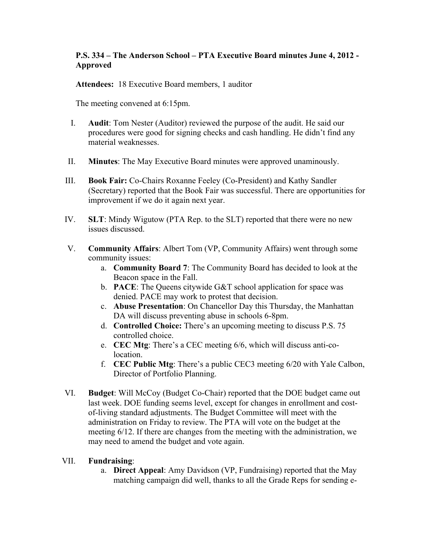## **P.S. 334 – The Anderson School – PTA Executive Board minutes June 4, 2012 - Approved**

**Attendees:** 18 Executive Board members, 1 auditor

The meeting convened at 6:15pm.

- I. **Audit**: Tom Nester (Auditor) reviewed the purpose of the audit. He said our procedures were good for signing checks and cash handling. He didn't find any material weaknesses.
- II. **Minutes**: The May Executive Board minutes were approved unaminously.
- III. **Book Fair:** Co-Chairs Roxanne Feeley (Co-President) and Kathy Sandler (Secretary) reported that the Book Fair was successful. There are opportunities for improvement if we do it again next year.
- IV. **SLT**: Mindy Wigutow (PTA Rep. to the SLT) reported that there were no new issues discussed.
- V. **Community Affairs**: Albert Tom (VP, Community Affairs) went through some community issues:
	- a. **Community Board 7**: The Community Board has decided to look at the Beacon space in the Fall.
	- b. **PACE**: The Queens citywide G&T school application for space was denied. PACE may work to protest that decision.
	- c. **Abuse Presentation**: On Chancellor Day this Thursday, the Manhattan DA will discuss preventing abuse in schools 6-8pm.
	- d. **Controlled Choice:** There's an upcoming meeting to discuss P.S. 75 controlled choice.
	- e. **CEC Mtg**: There's a CEC meeting 6/6, which will discuss anti-colocation.
	- f. **CEC Public Mtg**: There's a public CEC3 meeting 6/20 with Yale Calbon, Director of Portfolio Planning.
- VI. **Budget**: Will McCoy (Budget Co-Chair) reported that the DOE budget came out last week. DOE funding seems level, except for changes in enrollment and costof-living standard adjustments. The Budget Committee will meet with the administration on Friday to review. The PTA will vote on the budget at the meeting 6/12. If there are changes from the meeting with the administration, we may need to amend the budget and vote again.

## VII. **Fundraising**:

a. **Direct Appeal**: Amy Davidson (VP, Fundraising) reported that the May matching campaign did well, thanks to all the Grade Reps for sending e